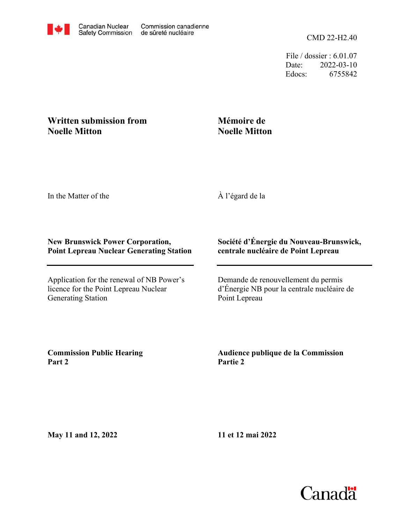File / dossier : 6.01.07 Date: 2022-03-10 Edocs: 6755842

## **Written submission from Noelle Mitton**

## **Mémoire de Noelle Mitton**

In the Matter of the

À l'égard de la

## **New Brunswick Power Corporation, Point Lepreau Nuclear Generating Station**

Application for the renewal of NB Power's licence for the Point Lepreau Nuclear Generating Station

## **Société d'Énergie du Nouveau-Brunswick, centrale nucléaire de Point Lepreau**

Demande de renouvellement du permis d'Énergie NB pour la centrale nucléaire de Point Lepreau

**Commission Public Hearing Part 2**

**Audience publique de la Commission Partie 2**

**May 11 and 12, 2022**

**11 et 12 mai 2022**